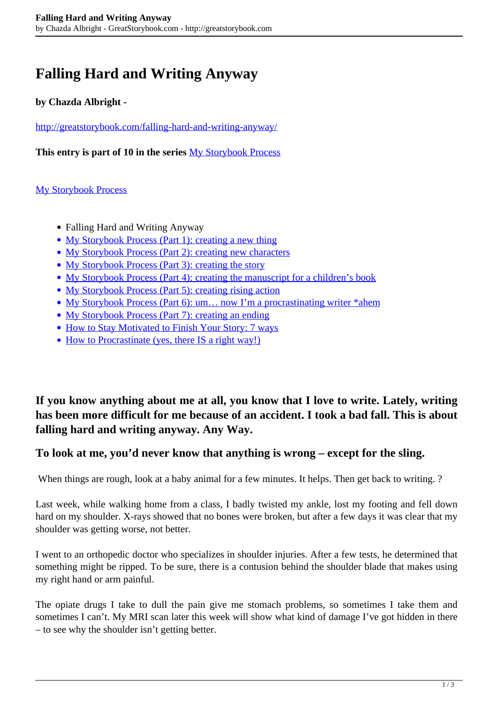# **Falling Hard and Writing Anyway**

## **by Chazda Albright -**

<http://greatstorybook.com/falling-hard-and-writing-anyway/>

**This entry is part of 10 in the series** [My Storybook Process](http://greatstorybook.com/series/my-storybook-process/)

### [My Storybook Process](http://greatstorybook.com/series/my-storybook-process/)

- Falling Hard and Writing Anyway
- [My Storybook Process \(Part 1\): creating a new thing](http://greatstorybook.com/my-storybook-process-part-1-creating-a-new-thing/)
- [My Storybook Process \(Part 2\): creating new characters](http://greatstorybook.com/my-storybook-process-part-2-creating-new-characters/)
- [My Storybook Process \(Part 3\): creating the story](http://greatstorybook.com/my-storybook-process-part-3-creating-the-story/)
- [My Storybook Process \(Part 4\): creating the manuscript for a children's book](http://greatstorybook.com/my-storybook-process-part-4-creating-the-manuscript/)
- [My Storybook Process \(Part 5\): creating rising action](http://greatstorybook.com/my-storybook-process-part-5-creating-rising-action/)
- [My Storybook Process \(Part 6\): um… now I'm a procrastinating writer \\*ahem](http://greatstorybook.com/my-storybook-process-part-6-um-now-im-procrastinating-but-i-have-a-process-for-this-too/)
- [My Storybook Process \(Part 7\): creating an ending](http://greatstorybook.com/my-storybook-process-part-7-creating-an-ending/)
- [How to Stay Motivated to Finish Your Story: 7 ways](http://greatstorybook.com/how-to-stay-motivated-to-finish-your-story-7-ways/)
- [How to Procrastinate \(yes, there IS a right way!\)](http://greatstorybook.com/how-to-procrastinate/)

**If you know anything about me at all, you know that I love to write. Lately, writing has been more difficult for me because of an accident. I took a bad fall. This is about falling hard and writing anyway. Any Way.**

### **To look at me, you'd never know that anything is wrong – except for the sling.**

When things are rough, look at a baby animal for a few minutes. It helps. Then get back to writing. ?

Last week, while walking home from a class, I badly twisted my ankle, lost my footing and fell down hard on my shoulder. X-rays showed that no bones were broken, but after a few days it was clear that my shoulder was getting worse, not better.

I went to an orthopedic doctor who specializes in shoulder injuries. After a few tests, he determined that something might be ripped. To be sure, there is a contusion behind the shoulder blade that makes using my right hand or arm painful.

The opiate drugs I take to dull the pain give me stomach problems, so sometimes I take them and sometimes I can't. My MRI scan later this week will show what kind of damage I've got hidden in there – to see why the shoulder isn't getting better.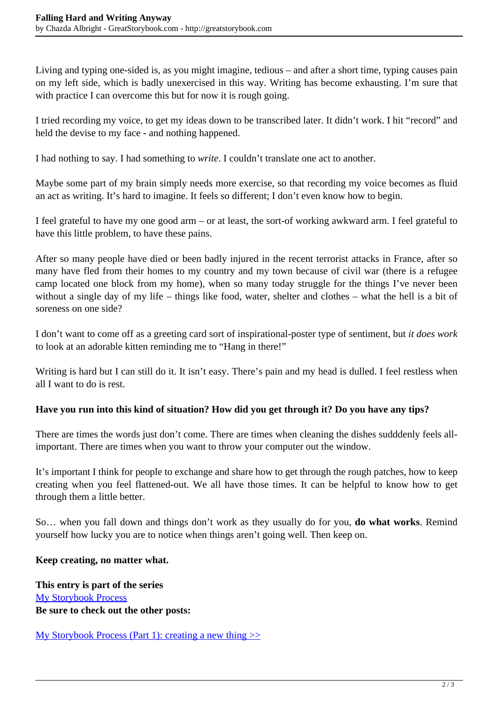Living and typing one-sided is, as you might imagine, tedious – and after a short time, typing causes pain on my left side, which is badly unexercised in this way. Writing has become exhausting. I'm sure that with practice I can overcome this but for now it is rough going.

I tried recording my voice, to get my ideas down to be transcribed later. It didn't work. I hit "record" and held the devise to my face - and nothing happened.

I had nothing to say. I had something to *write*. I couldn't translate one act to another.

Maybe some part of my brain simply needs more exercise, so that recording my voice becomes as fluid an act as writing. It's hard to imagine. It feels so different; I don't even know how to begin.

I feel grateful to have my one good arm – or at least, the sort-of working awkward arm. I feel grateful to have this little problem, to have these pains.

After so many people have died or been badly injured in the recent terrorist attacks in France, after so many have fled from their homes to my country and my town because of civil war (there is a refugee camp located one block from my home), when so many today struggle for the things I've never been without a single day of my life – things like food, water, shelter and clothes – what the hell is a bit of soreness on one side?

I don't want to come off as a greeting card sort of inspirational-poster type of sentiment, but *it does work* to look at an adorable kitten reminding me to "Hang in there!"

Writing is hard but I can still do it. It isn't easy. There's pain and my head is dulled. I feel restless when all I want to do is rest.

### **Have you run into this kind of situation? How did you get through it? Do you have any tips?**

There are times the words just don't come. There are times when cleaning the dishes sudddenly feels allimportant. There are times when you want to throw your computer out the window.

It's important I think for people to exchange and share how to get through the rough patches, how to keep creating when you feel flattened-out. We all have those times. It can be helpful to know how to get through them a little better.

So… when you fall down and things don't work as they usually do for you, **do what works**. Remind yourself how lucky you are to notice when things aren't going well. Then keep on.

### **Keep creating, no matter what.**

**This entry is part of the series** [My Storybook Process](http://greatstorybook.com/series/my-storybook-process/) **Be sure to check out the other posts:**

My Storybook Process (Part 1): creating a new thing  $\gg$